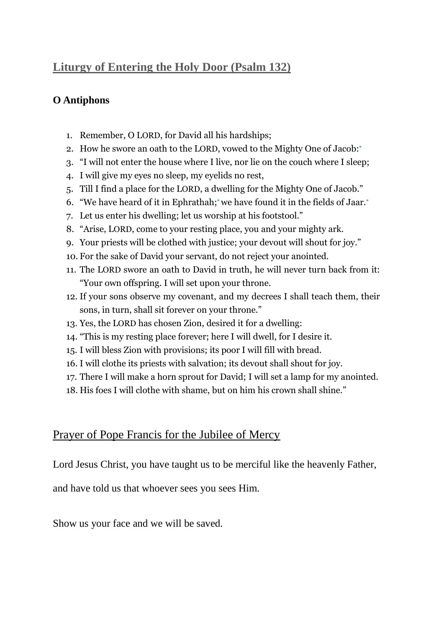## **Liturgy of Entering the Holy Door (Psalm 132)**

## **O Antiphons**

- 1. Remember, O LORD, for David all his hardships;
- 2. How he swore an oath to the LORD, vowed to the Mighty One of Jacob[:](http://www.usccb.org/bible/psalms/132#23132002-1#23132002-1)**\***
- 3. "I will not enter the house where I live, nor lie on the couch where I sleep;
- 4. I will give my eyes no sleep, my eyelids no rest,
- 5. Till I find a place for the LORD, a dwelling for the Mighty One of Jacob."
- 6. "We have heard of it in Ephrathah[;](http://www.usccb.org/bible/psalms/132#23132006-1#23132006-1)**\*** we have found it in the fields of Jaar[.](http://www.usccb.org/bible/psalms/132#23132006-1#23132006-1)**\***
- 7. Let us enter his dwelling; let us worship at his footstool."
- 8. "Arise, LORD, come to your resting place, you and your mighty ark.
- 9. Your priests will be clothed with justice; your devout will shout for joy."
- 10. For the sake of David your servant, do not reject your anointed.
- 11. The LORD swore an oath to David in truth, he will never turn back from it: "Your own offspring. I will set upon your throne.
- 12. If your sons observe my covenant, and my decrees I shall teach them, their sons, in turn, shall sit forever on your throne."
- 13. Yes, the LORD has chosen Zion, desired it for a dwelling:
- 14. "This is my resting place forever; here I will dwell, for I desire it.
- 15. I will bless Zion with provisions; its poor I will fill with bread.
- 16. I will clothe its priests with salvation; its devout shall shout for joy.
- 17. There I will make a horn sprout for David; I will set a lamp for my anointed.
- 18. His foes I will clothe with shame, but on him his crown shall shine."

## Prayer of Pope Francis for the Jubilee of Mercy

Lord Jesus Christ, you have taught us to be merciful like the heavenly Father,

and have told us that whoever sees you sees Him.

Show us your face and we will be saved.